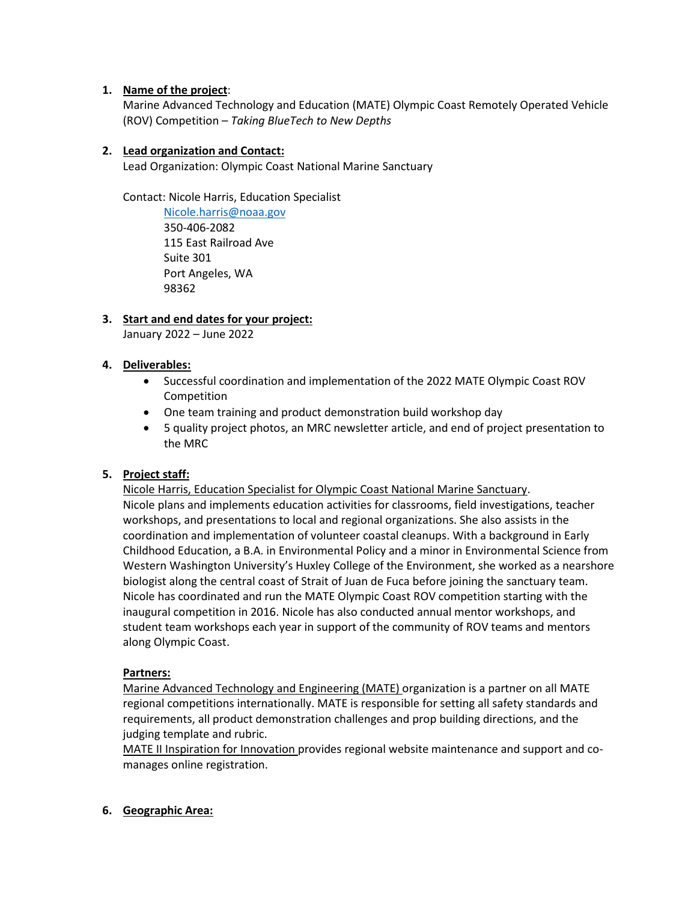## **1. Name of the project**:

Marine Advanced Technology and Education (MATE) Olympic Coast Remotely Operated Vehicle (ROV) Competition – *Taking BlueTech to New Depths*

## **2. Lead organization and Contact:**

Lead Organization: Olympic Coast National Marine Sanctuary

Contact: Nicole Harris, Education Specialist

[Nicole.harris@noaa.gov](mailto:Nicole.harris@noaa.gov) 350-406-2082 115 East Railroad Ave Suite 301 Port Angeles, WA 98362

# **3. Start and end dates for your project:**

January 2022 – June 2022

## **4. Deliverables:**

- Successful coordination and implementation of the 2022 MATE Olympic Coast ROV Competition
- One team training and product demonstration build workshop day
- 5 quality project photos, an MRC newsletter article, and end of project presentation to the MRC

# **5. Project staff:**

Nicole Harris, Education Specialist for Olympic Coast National Marine Sanctuary. Nicole plans and implements education activities for classrooms, field investigations, teacher workshops, and presentations to local and regional organizations. She also assists in the coordination and implementation of volunteer coastal cleanups. With a background in Early Childhood Education, a B.A. in Environmental Policy and a minor in Environmental Science from Western Washington University's Huxley College of the Environment, she worked as a nearshore biologist along the central coast of Strait of Juan de Fuca before joining the sanctuary team. Nicole has coordinated and run the MATE Olympic Coast ROV competition starting with the inaugural competition in 2016. Nicole has also conducted annual mentor workshops, and student team workshops each year in support of the community of ROV teams and mentors along Olympic Coast.

# **Partners:**

Marine Advanced Technology and Engineering (MATE) organization is a partner on all MATE regional competitions internationally. MATE is responsible for setting all safety standards and requirements, all product demonstration challenges and prop building directions, and the judging template and rubric.

MATE II Inspiration for Innovation provides regional website maintenance and support and comanages online registration.

## **6. Geographic Area:**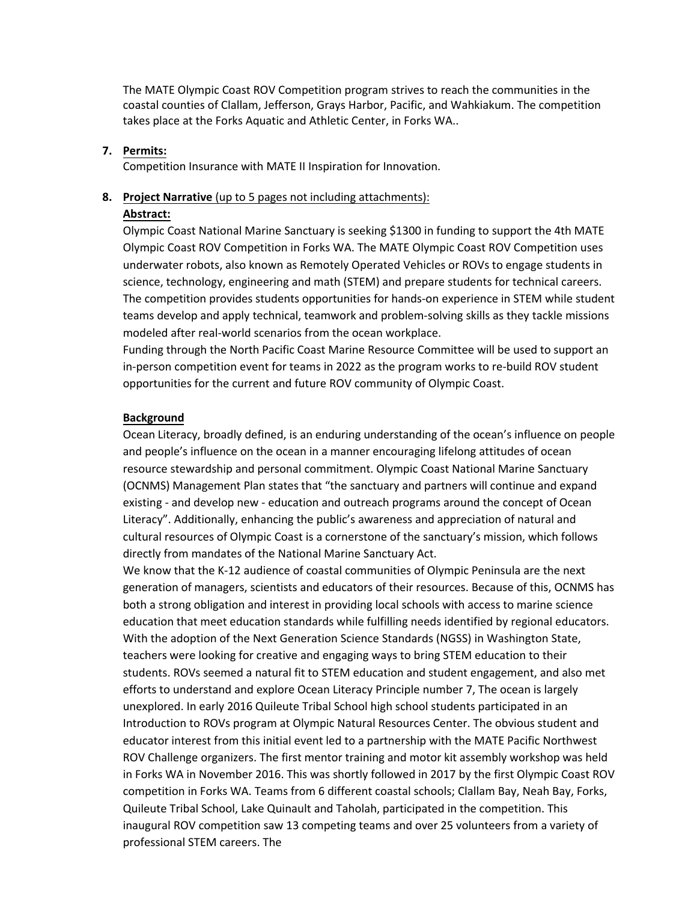The MATE Olympic Coast ROV Competition program strives to reach the communities in the coastal counties of Clallam, Jefferson, Grays Harbor, Pacific, and Wahkiakum. The competition takes place at the Forks Aquatic and Athletic Center, in Forks WA..

## **7. Permits:**

Competition Insurance with MATE II Inspiration for Innovation.

#### **8. Project Narrative** (up to 5 pages not including attachments):

#### **Abstract:**

Olympic Coast National Marine Sanctuary is seeking \$1300 in funding to support the 4th MATE Olympic Coast ROV Competition in Forks WA. The MATE Olympic Coast ROV Competition uses underwater robots, also known as Remotely Operated Vehicles or ROVs to engage students in science, technology, engineering and math (STEM) and prepare students for technical careers. The competition provides students opportunities for hands-on experience in STEM while student teams develop and apply technical, teamwork and problem-solving skills as they tackle missions modeled after real-world scenarios from the ocean workplace.

Funding through the North Pacific Coast Marine Resource Committee will be used to support an in-person competition event for teams in 2022 as the program works to re-build ROV student opportunities for the current and future ROV community of Olympic Coast.

#### **Background**

Ocean Literacy, broadly defined, is an enduring understanding of the ocean's influence on people and people's influence on the ocean in a manner encouraging lifelong attitudes of ocean resource stewardship and personal commitment. Olympic Coast National Marine Sanctuary (OCNMS) Management Plan states that "the sanctuary and partners will continue and expand existing - and develop new - education and outreach programs around the concept of Ocean Literacy". Additionally, enhancing the public's awareness and appreciation of natural and cultural resources of Olympic Coast is a cornerstone of the sanctuary's mission, which follows directly from mandates of the National Marine Sanctuary Act.

We know that the K-12 audience of coastal communities of Olympic Peninsula are the next generation of managers, scientists and educators of their resources. Because of this, OCNMS has both a strong obligation and interest in providing local schools with access to marine science education that meet education standards while fulfilling needs identified by regional educators. With the adoption of the Next Generation Science Standards (NGSS) in Washington State, teachers were looking for creative and engaging ways to bring STEM education to their students. ROVs seemed a natural fit to STEM education and student engagement, and also met efforts to understand and explore Ocean Literacy Principle number 7, The ocean is largely unexplored. In early 2016 Quileute Tribal School high school students participated in an Introduction to ROVs program at Olympic Natural Resources Center. The obvious student and educator interest from this initial event led to a partnership with the MATE Pacific Northwest ROV Challenge organizers. The first mentor training and motor kit assembly workshop was held in Forks WA in November 2016. This was shortly followed in 2017 by the first Olympic Coast ROV competition in Forks WA. Teams from 6 different coastal schools; Clallam Bay, Neah Bay, Forks, Quileute Tribal School, Lake Quinault and Taholah, participated in the competition. This inaugural ROV competition saw 13 competing teams and over 25 volunteers from a variety of professional STEM careers. The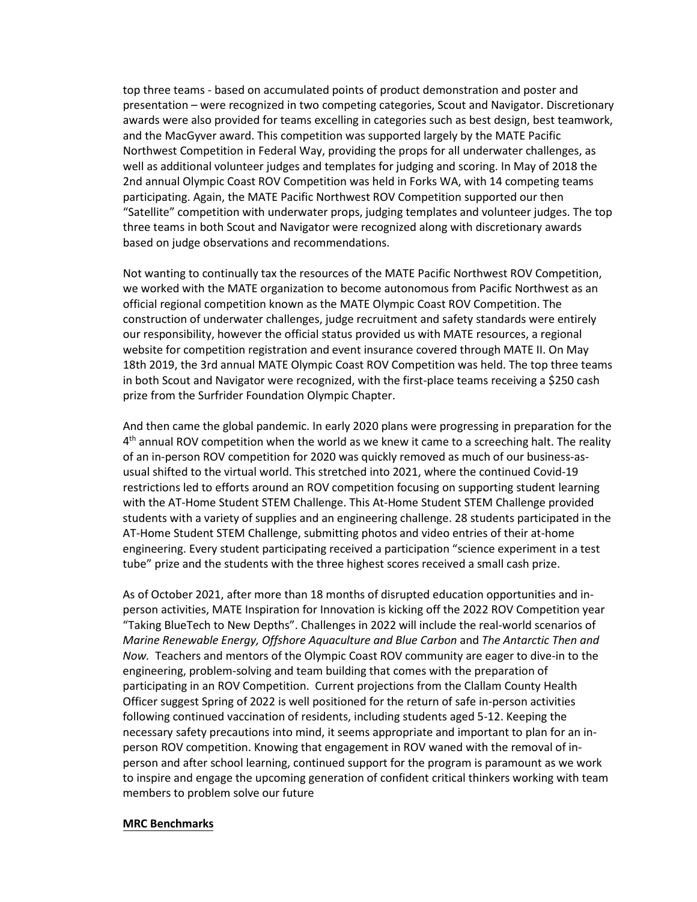top three teams - based on accumulated points of product demonstration and poster and presentation – were recognized in two competing categories, Scout and Navigator. Discretionary awards were also provided for teams excelling in categories such as best design, best teamwork, and the MacGyver award. This competition was supported largely by the MATE Pacific Northwest Competition in Federal Way, providing the props for all underwater challenges, as well as additional volunteer judges and templates for judging and scoring. In May of 2018 the 2nd annual Olympic Coast ROV Competition was held in Forks WA, with 14 competing teams participating. Again, the MATE Pacific Northwest ROV Competition supported our then "Satellite" competition with underwater props, judging templates and volunteer judges. The top three teams in both Scout and Navigator were recognized along with discretionary awards based on judge observations and recommendations.

Not wanting to continually tax the resources of the MATE Pacific Northwest ROV Competition, we worked with the MATE organization to become autonomous from Pacific Northwest as an official regional competition known as the MATE Olympic Coast ROV Competition. The construction of underwater challenges, judge recruitment and safety standards were entirely our responsibility, however the official status provided us with MATE resources, a regional website for competition registration and event insurance covered through MATE II. On May 18th 2019, the 3rd annual MATE Olympic Coast ROV Competition was held. The top three teams in both Scout and Navigator were recognized, with the first-place teams receiving a \$250 cash prize from the Surfrider Foundation Olympic Chapter.

And then came the global pandemic. In early 2020 plans were progressing in preparation for the 4<sup>th</sup> annual ROV competition when the world as we knew it came to a screeching halt. The reality of an in-person ROV competition for 2020 was quickly removed as much of our business-asusual shifted to the virtual world. This stretched into 2021, where the continued Covid-19 restrictions led to efforts around an ROV competition focusing on supporting student learning with the AT-Home Student STEM Challenge. This At-Home Student STEM Challenge provided students with a variety of supplies and an engineering challenge. 28 students participated in the AT-Home Student STEM Challenge, submitting photos and video entries of their at-home engineering. Every student participating received a participation "science experiment in a test tube" prize and the students with the three highest scores received a small cash prize.

As of October 2021, after more than 18 months of disrupted education opportunities and inperson activities, MATE Inspiration for Innovation is kicking off the 2022 ROV Competition year "Taking BlueTech to New Depths". Challenges in 2022 will include the real-world scenarios of *Marine Renewable Energy, Offshore Aquaculture and Blue Carbon* and *The Antarctic Then and Now.* Teachers and mentors of the Olympic Coast ROV community are eager to dive-in to the engineering, problem-solving and team building that comes with the preparation of participating in an ROV Competition. Current projections from the Clallam County Health Officer suggest Spring of 2022 is well positioned for the return of safe in-person activities following continued vaccination of residents, including students aged 5-12. Keeping the necessary safety precautions into mind, it seems appropriate and important to plan for an inperson ROV competition. Knowing that engagement in ROV waned with the removal of inperson and after school learning, continued support for the program is paramount as we work to inspire and engage the upcoming generation of confident critical thinkers working with team members to problem solve our future

### **MRC Benchmarks**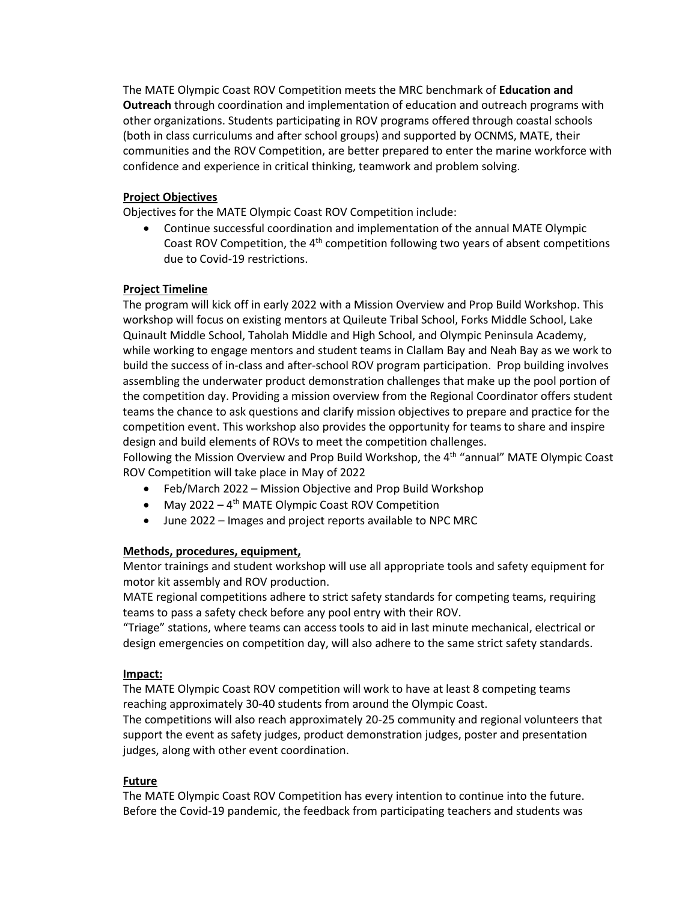The MATE Olympic Coast ROV Competition meets the MRC benchmark of **Education and Outreach** through coordination and implementation of education and outreach programs with other organizations. Students participating in ROV programs offered through coastal schools (both in class curriculums and after school groups) and supported by OCNMS, MATE, their communities and the ROV Competition, are better prepared to enter the marine workforce with confidence and experience in critical thinking, teamwork and problem solving.

## **Project Objectives**

Objectives for the MATE Olympic Coast ROV Competition include:

• Continue successful coordination and implementation of the annual MATE Olympic Coast ROV Competition, the  $4<sup>th</sup>$  competition following two years of absent competitions due to Covid-19 restrictions.

## **Project Timeline**

The program will kick off in early 2022 with a Mission Overview and Prop Build Workshop. This workshop will focus on existing mentors at Quileute Tribal School, Forks Middle School, Lake Quinault Middle School, Taholah Middle and High School, and Olympic Peninsula Academy, while working to engage mentors and student teams in Clallam Bay and Neah Bay as we work to build the success of in-class and after-school ROV program participation. Prop building involves assembling the underwater product demonstration challenges that make up the pool portion of the competition day. Providing a mission overview from the Regional Coordinator offers student teams the chance to ask questions and clarify mission objectives to prepare and practice for the competition event. This workshop also provides the opportunity for teams to share and inspire design and build elements of ROVs to meet the competition challenges.

Following the Mission Overview and Prop Build Workshop, the 4<sup>th</sup> "annual" MATE Olympic Coast ROV Competition will take place in May of 2022

- Feb/March 2022 Mission Objective and Prop Build Workshop
- May 2022  $4<sup>th</sup>$  MATE Olympic Coast ROV Competition
- June 2022 Images and project reports available to NPC MRC

# **Methods, procedures, equipment,**

Mentor trainings and student workshop will use all appropriate tools and safety equipment for motor kit assembly and ROV production.

MATE regional competitions adhere to strict safety standards for competing teams, requiring teams to pass a safety check before any pool entry with their ROV.

"Triage" stations, where teams can access tools to aid in last minute mechanical, electrical or design emergencies on competition day, will also adhere to the same strict safety standards.

## **Impact:**

The MATE Olympic Coast ROV competition will work to have at least 8 competing teams reaching approximately 30-40 students from around the Olympic Coast.

The competitions will also reach approximately 20-25 community and regional volunteers that support the event as safety judges, product demonstration judges, poster and presentation judges, along with other event coordination.

# **Future**

The MATE Olympic Coast ROV Competition has every intention to continue into the future. Before the Covid-19 pandemic, the feedback from participating teachers and students was